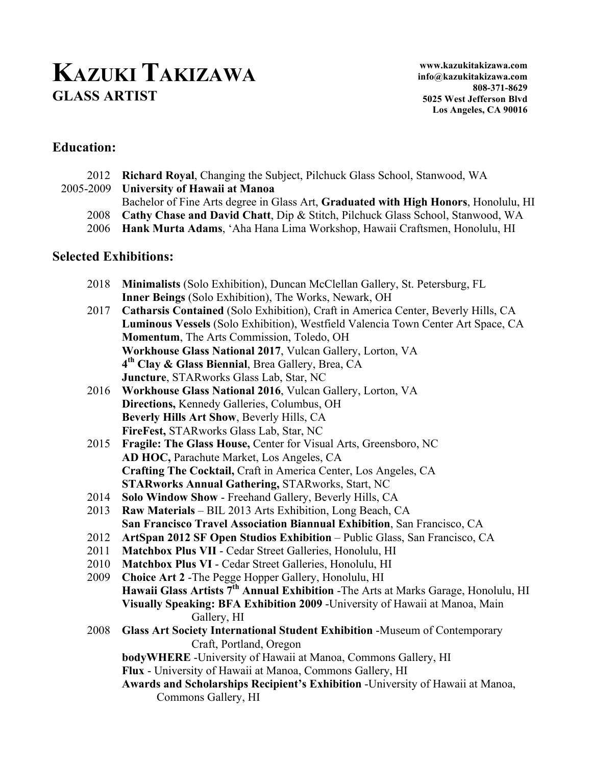# **KAZUKI TAKIZAWA GLASS ARTIST**

## **Education:**

- 2012 **Richard Royal**, Changing the Subject, Pilchuck Glass School, Stanwood, WA
- 2005-2009 **University of Hawaii at Manoa**
	- Bachelor of Fine Arts degree in Glass Art, **Graduated with High Honors**, Honolulu, HI
	- 2008 **Cathy Chase and David Chatt**, Dip & Stitch, Pilchuck Glass School, Stanwood, WA
	- 2006 **Hank Murta Adams**, 'Aha Hana Lima Workshop, Hawaii Craftsmen, Honolulu, HI

### **Selected Exhibitions:**

- 2018 **Minimalists** (Solo Exhibition), Duncan McClellan Gallery, St. Petersburg, FL **Inner Beings** (Solo Exhibition), The Works, Newark, OH
- 2017 **Catharsis Contained** (Solo Exhibition), Craft in America Center, Beverly Hills, CA **Luminous Vessels** (Solo Exhibition), Westfield Valencia Town Center Art Space, CA **Momentum**, The Arts Commission, Toledo, OH **Workhouse Glass National 2017**, Vulcan Gallery, Lorton, VA **4th Clay & Glass Biennial**, Brea Gallery, Brea, CA **Juncture**, STARworks Glass Lab, Star, NC
- 2016 **Workhouse Glass National 2016**, Vulcan Gallery, Lorton, VA **Directions,** Kennedy Galleries, Columbus, OH **Beverly Hills Art Show**, Beverly Hills, CA **FireFest,** STARworks Glass Lab, Star, NC
- 2015 **Fragile: The Glass House,** Center for Visual Arts, Greensboro, NC **AD HOC,** Parachute Market, Los Angeles, CA **Crafting The Cocktail,** Craft in America Center, Los Angeles, CA **STARworks Annual Gathering,** STARworks, Start, NC
- 2014 **Solo Window Show**  Freehand Gallery, Beverly Hills, CA
- 2013 **Raw Materials** BIL 2013 Arts Exhibition, Long Beach, CA **San Francisco Travel Association Biannual Exhibition**, San Francisco, CA
- 2012 **ArtSpan 2012 SF Open Studios Exhibition** Public Glass, San Francisco, CA
- 2011 **Matchbox Plus VII**  Cedar Street Galleries, Honolulu, HI
- 2010 **Matchbox Plus VI**  Cedar Street Galleries, Honolulu, HI
- 2009 **Choice Art 2** -The Pegge Hopper Gallery, Honolulu, HI **Hawaii Glass Artists 7th Annual Exhibition** -The Arts at Marks Garage, Honolulu, HI **Visually Speaking: BFA Exhibition 2009** -University of Hawaii at Manoa, Main Gallery, HI
- 2008 **Glass Art Society International Student Exhibition** -Museum of Contemporary Craft, Portland, Oregon

**bodyWHERE** -University of Hawaii at Manoa, Commons Gallery, HI

**Flux** - University of Hawaii at Manoa, Commons Gallery, HI

**Awards and Scholarships Recipient's Exhibition** -University of Hawaii at Manoa, Commons Gallery, HI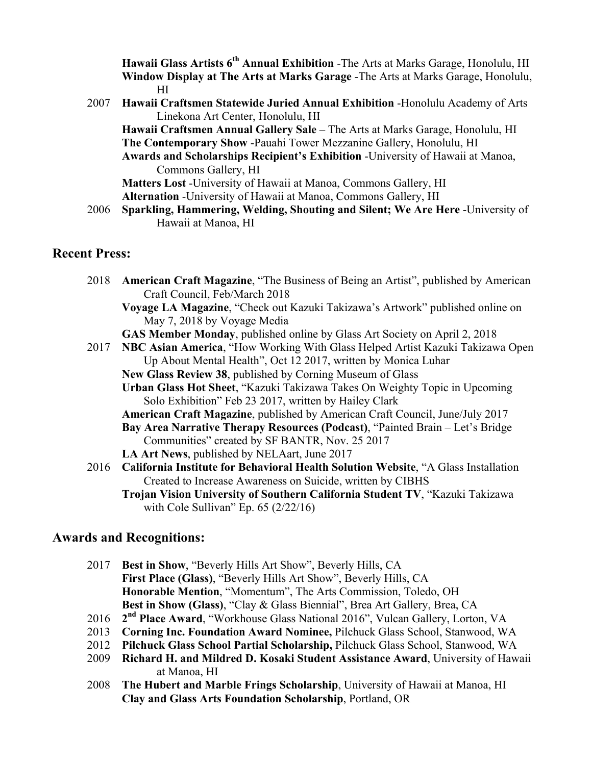**Hawaii Glass Artists 6th Annual Exhibition** -The Arts at Marks Garage, Honolulu, HI **Window Display at The Arts at Marks Garage** -The Arts at Marks Garage, Honolulu, HI

2007 **Hawaii Craftsmen Statewide Juried Annual Exhibition** -Honolulu Academy of Arts Linekona Art Center, Honolulu, HI

**Hawaii Craftsmen Annual Gallery Sale** – The Arts at Marks Garage, Honolulu, HI **The Contemporary Show** -Pauahi Tower Mezzanine Gallery, Honolulu, HI **Awards and Scholarships Recipient's Exhibition** -University of Hawaii at Manoa, Commons Gallery, HI

**Matters Lost** -University of Hawaii at Manoa, Commons Gallery, HI **Alternation** -University of Hawaii at Manoa, Commons Gallery, HI

2006 **Sparkling, Hammering, Welding, Shouting and Silent; We Are Here** -University of Hawaii at Manoa, HI

#### **Recent Press:**

- 2018 **American Craft Magazine**, "The Business of Being an Artist", published by American Craft Council, Feb/March 2018
	- **Voyage LA Magazine**, "Check out Kazuki Takizawa's Artwork" published online on May 7, 2018 by Voyage Media
	- **GAS Member Monday**, published online by Glass Art Society on April 2, 2018
- 2017 **NBC Asian America**, "How Working With Glass Helped Artist Kazuki Takizawa Open Up About Mental Health", Oct 12 2017, written by Monica Luhar **New Glass Review 38**, published by Corning Museum of Glass
	- **Urban Glass Hot Sheet**, "Kazuki Takizawa Takes On Weighty Topic in Upcoming Solo Exhibition" Feb 23 2017, written by Hailey Clark

**American Craft Magazine**, published by American Craft Council, June/July 2017 **Bay Area Narrative Therapy Resources (Podcast)**, "Painted Brain – Let's Bridge Communities" created by SF BANTR, Nov. 25 2017

- **LA Art News**, published by NELAart, June 2017
- 2016 **California Institute for Behavioral Health Solution Website**, "A Glass Installation Created to Increase Awareness on Suicide, written by CIBHS

**Trojan Vision University of Southern California Student TV**, "Kazuki Takizawa with Cole Sullivan" Ep.  $65 (2/22/16)$ 

### **Awards and Recognitions:**

- 2017 **Best in Show**, "Beverly Hills Art Show", Beverly Hills, CA **First Place (Glass)**, "Beverly Hills Art Show", Beverly Hills, CA **Honorable Mention**, "Momentum", The Arts Commission, Toledo, OH **Best in Show (Glass)**, "Clay & Glass Biennial", Brea Art Gallery, Brea, CA
- 2016 **2nd Place Award**, "Workhouse Glass National 2016", Vulcan Gallery, Lorton, VA
- 2013 **Corning Inc. Foundation Award Nominee,** Pilchuck Glass School, Stanwood, WA
- 2012 **Pilchuck Glass School Partial Scholarship,** Pilchuck Glass School, Stanwood, WA
- 2009 **Richard H. and Mildred D. Kosaki Student Assistance Award**, University of Hawaii at Manoa, HI
- 2008 **The Hubert and Marble Frings Scholarship**, University of Hawaii at Manoa, HI **Clay and Glass Arts Foundation Scholarship**, Portland, OR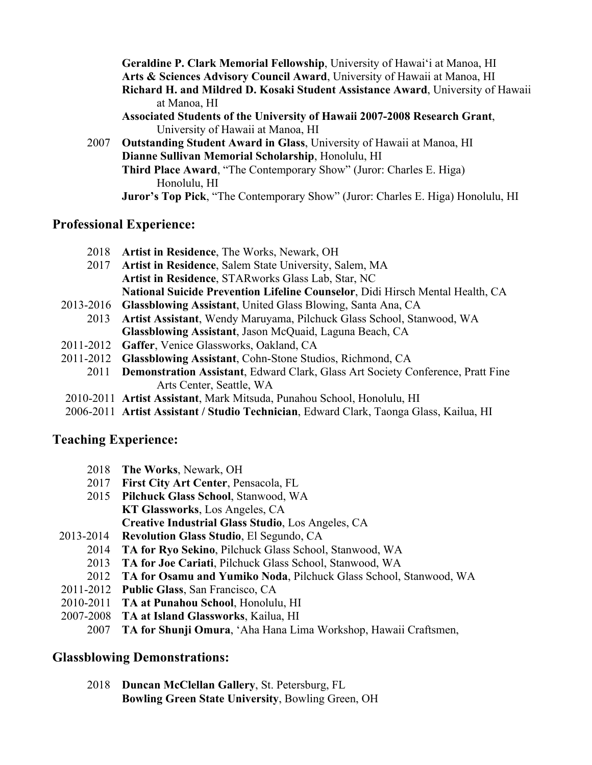**Geraldine P. Clark Memorial Fellowship**, University of Hawai'i at Manoa, HI **Arts & Sciences Advisory Council Award**, University of Hawaii at Manoa, HI **Richard H. and Mildred D. Kosaki Student Assistance Award**, University of Hawaii at Manoa, HI **Associated Students of the University of Hawaii 2007-2008 Research Grant**, University of Hawaii at Manoa, HI 2007 **Outstanding Student Award in Glass**, University of Hawaii at Manoa, HI

**Dianne Sullivan Memorial Scholarship**, Honolulu, HI **Third Place Award**, "The Contemporary Show" (Juror: Charles E. Higa) Honolulu, HI **Juror's Top Pick**, "The Contemporary Show" (Juror: Charles E. Higa) Honolulu, HI

### **Professional Experience:**

- 2018 **Artist in Residence**, The Works, Newark, OH
- 2017 **Artist in Residence**, Salem State University, Salem, MA **Artist in Residence**, STARworks Glass Lab, Star, NC **National Suicide Prevention Lifeline Counselor**, Didi Hirsch Mental Health, CA
- 2013-2016 **Glassblowing Assistant**, United Glass Blowing, Santa Ana, CA 2013 **Artist Assistant**, Wendy Maruyama, Pilchuck Glass School, Stanwood, WA **Glassblowing Assistant**, Jason McQuaid, Laguna Beach, CA
- 2011-2012 **Gaffer**, Venice Glassworks, Oakland, CA
- 2011-2012 **Glassblowing Assistant**, Cohn-Stone Studios, Richmond, CA
	- 2011 **Demonstration Assistant**, Edward Clark, Glass Art Society Conference, Pratt Fine Arts Center, Seattle, WA
- 2010-2011 **Artist Assistant**, Mark Mitsuda, Punahou School, Honolulu, HI
- 2006-2011 **Artist Assistant / Studio Technician**, Edward Clark, Taonga Glass, Kailua, HI

### **Teaching Experience:**

- 2018 **The Works**, Newark, OH
- 2017 **First City Art Center**, Pensacola, FL
- 2015 **Pilchuck Glass School**, Stanwood, WA **KT Glassworks**, Los Angeles, CA **Creative Industrial Glass Studio**, Los Angeles, CA
- 2013-2014 **Revolution Glass Studio**, El Segundo, CA
	- 2014 **TA for Ryo Sekino**, Pilchuck Glass School, Stanwood, WA
	- 2013 **TA for Joe Cariati**, Pilchuck Glass School, Stanwood, WA
	- 2012 **TA for Osamu and Yumiko Noda**, Pilchuck Glass School, Stanwood, WA
- 2011-2012 **Public Glass**, San Francisco, CA
- 2010-2011 **TA at Punahou School**, Honolulu, HI
- 2007-2008 **TA at Island Glassworks**, Kailua, HI
	- 2007 **TA for Shunji Omura**, 'Aha Hana Lima Workshop, Hawaii Craftsmen,

# **Glassblowing Demonstrations:**

2018 **Duncan McClellan Gallery**, St. Petersburg, FL **Bowling Green State University**, Bowling Green, OH